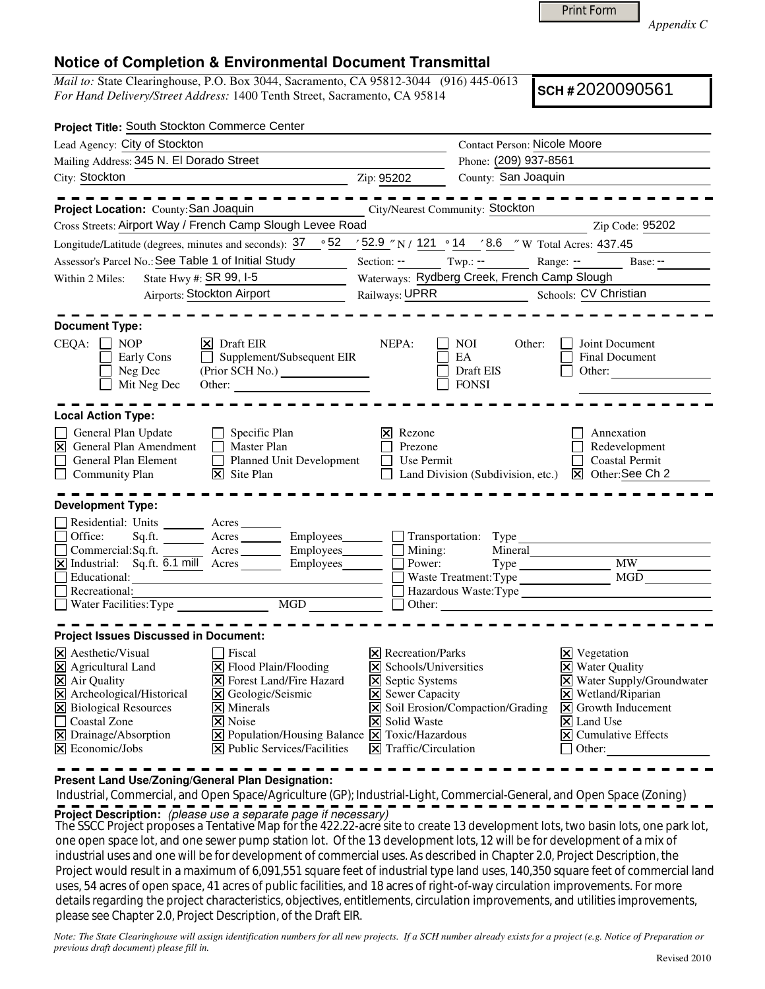Print Form

*Appendix C* 

## **Notice of Completion & Environmental Document Transmittal**

*Mail to:* State Clearinghouse, P.O. Box 3044, Sacramento, CA 95812-3044 (916) 445-0613 *For Hand Delivery/Street Address:* 1400 Tenth Street, Sacramento, CA 95814

**SCH #** 2020090561

| Project Title: South Stockton Commerce Center                                                                                                                                                                                                                                                                                                                                                                                                                                                                                               |                                                                                                                                                                                  |                                                                                                                                                                                                                                                                                 |
|---------------------------------------------------------------------------------------------------------------------------------------------------------------------------------------------------------------------------------------------------------------------------------------------------------------------------------------------------------------------------------------------------------------------------------------------------------------------------------------------------------------------------------------------|----------------------------------------------------------------------------------------------------------------------------------------------------------------------------------|---------------------------------------------------------------------------------------------------------------------------------------------------------------------------------------------------------------------------------------------------------------------------------|
| Lead Agency: City of Stockton                                                                                                                                                                                                                                                                                                                                                                                                                                                                                                               |                                                                                                                                                                                  | <b>Contact Person: Nicole Moore</b>                                                                                                                                                                                                                                             |
| Mailing Address: 345 N. El Dorado Street                                                                                                                                                                                                                                                                                                                                                                                                                                                                                                    |                                                                                                                                                                                  | Phone: (209) 937-8561                                                                                                                                                                                                                                                           |
| City: Stockton                                                                                                                                                                                                                                                                                                                                                                                                                                                                                                                              | Zip: 95202                                                                                                                                                                       | County: San Joaquin                                                                                                                                                                                                                                                             |
| Project Location: County: San Joaquin                                                                                                                                                                                                                                                                                                                                                                                                                                                                                                       |                                                                                                                                                                                  | <b>City/Nearest Community: Stockton</b>                                                                                                                                                                                                                                         |
| Cross Streets: Airport Way / French Camp Slough Levee Road                                                                                                                                                                                                                                                                                                                                                                                                                                                                                  |                                                                                                                                                                                  | Zip Code: 95202                                                                                                                                                                                                                                                                 |
| Longitude/Latitude (degrees, minutes and seconds): $37 \cdot 52$                                                                                                                                                                                                                                                                                                                                                                                                                                                                            |                                                                                                                                                                                  | $\frac{1}{2}$ 52.9 "N / 121 ° 14 $\frac{1}{2}$ 8.6 "W Total Acres: 437.45                                                                                                                                                                                                       |
| Assessor's Parcel No.: See Table 1 of Initial Study                                                                                                                                                                                                                                                                                                                                                                                                                                                                                         |                                                                                                                                                                                  | Section: -- Twp.: -- Range: <u>--</u> Base: --                                                                                                                                                                                                                                  |
| State Hwy #: <b>SR 99, 1-5</b><br>Within 2 Miles:                                                                                                                                                                                                                                                                                                                                                                                                                                                                                           |                                                                                                                                                                                  | Waterways: Rydberg Creek, French Camp Slough                                                                                                                                                                                                                                    |
| Airports: Stockton Airport                                                                                                                                                                                                                                                                                                                                                                                                                                                                                                                  |                                                                                                                                                                                  | Railways: UPRR Schools: CV Christian                                                                                                                                                                                                                                            |
| <b>Document Type:</b><br>$CEQA: \Box NP$<br>$ \mathsf{X} $ Draft EIR<br>$\Box$ Supplement/Subsequent EIR<br>Early Cons<br>Neg Dec<br>Mit Neg Dec                                                                                                                                                                                                                                                                                                                                                                                            | NEPA:                                                                                                                                                                            | <b>NOI</b><br>Other:<br>Joint Document<br>EA<br><b>Final Document</b><br>Draft EIS<br>Other:<br><b>FONSI</b>                                                                                                                                                                    |
| <b>Local Action Type:</b>                                                                                                                                                                                                                                                                                                                                                                                                                                                                                                                   |                                                                                                                                                                                  |                                                                                                                                                                                                                                                                                 |
| General Plan Update<br>$\Box$ Specific Plan<br>⊠<br>General Plan Amendment<br>Master Plan<br>General Plan Element<br>Planned Unit Development<br>$\Box$<br>$ \mathbf{\nabla} $ Site Plan<br><b>Community Plan</b>                                                                                                                                                                                                                                                                                                                           | Rezone<br>Ι×Ι<br>Prezone<br>Use Permit                                                                                                                                           | Annexation<br>Redevelopment<br><b>Coastal Permit</b><br>Land Division (Subdivision, etc.) <b>X</b> Other: See Ch 2                                                                                                                                                              |
| <b>Development Type:</b><br>Residential: Units ________ Acres _____<br>Sq.ft. Acres Employees Transportation: Type<br>Office:<br>Acres Employees Mining:<br>Commercial:Sq.ft.<br>X Industrial: Sq.ft. 6.1 mill Acres ________ Employees________<br>Educational:<br>Recreational:                                                                                                                                                                                                                                                            | Power:                                                                                                                                                                           | Mineral<br><b>MW</b><br>MGD<br>Waste Treatment: Type<br>Hazardous Waste:Type                                                                                                                                                                                                    |
|                                                                                                                                                                                                                                                                                                                                                                                                                                                                                                                                             |                                                                                                                                                                                  |                                                                                                                                                                                                                                                                                 |
| <b>Project Issues Discussed in Document:</b><br>X Aesthetic/Visual<br><b>Fiscal</b><br>X Agricultural Land<br>$\Xi$ Flood Plain/Flooding<br>X Air Quality<br><b>X</b> Forest Land/Fire Hazard<br>X Archeological/Historical<br>X Geologic/Seismic<br>X Biological Resources<br>$\times$ Minerals<br>$\Box$<br>X Noise<br>Coastal Zone<br>X Drainage/Absorption<br>$\boxed{\mathbf{X}}$ Population/Housing Balance $\boxed{\mathbf{X}}$ Toxic/Hazardous<br>$\mathbf{\Sigma}$ Economic/Jobs<br>$ \mathbf{\times} $ Public Services/Facilities | $\boxtimes$ Recreation/Parks<br>X Schools/Universities<br><b>X</b> Septic Systems<br><b>X</b> Sewer Capacity<br><b>X</b> Solid Waste<br>$\boxed{\mathsf{X}}$ Traffic/Circulation | $\times$ Vegetation<br><b>X</b> Water Quality<br>X Water Supply/Groundwater<br>$\boxtimes$ Wetland/Riparian<br>X Soil Erosion/Compaction/Grading<br>$\vert$ <b>X</b> Growth Inducement<br>$\vert\mathsf{X}\vert$ Land Use<br>$ \mathsf{x} $ Cumulative Effects<br>$\Box$ Other: |

**Present Land Use/Zoning/General Plan Designation:**

 Industrial, Commercial, and Open Space/Agriculture (GP); Industrial-Light, Commercial-General, and Open Space (Zoning) **Project Description:** (please use a separate page if necessary)

The SSCC Project proposes a Tentative Map for the 422.22-acre site to create 13 development lots, two basin lots, one park lot, one open space lot, and one sewer pump station lot. Of the 13 development lots, 12 will be for development of a mix of industrial uses and one will be for development of commercial uses. As described in Chapter 2.0, Project Description, the Project would result in a maximum of 6,091,551 square feet of industrial type land uses, 140,350 square feet of commercial land uses, 54 acres of open space, 41 acres of public facilities, and 18 acres of right-of-way circulation improvements. For more details regarding the project characteristics, objectives, entitlements, circulation improvements, and utilities improvements, please see Chapter 2.0, Project Description, of the Draft EIR.

*Note: The State Clearinghouse will assign identification numbers for all new projects. If a SCH number already exists for a project (e.g. Notice of Preparation or previous draft document) please fill in.*